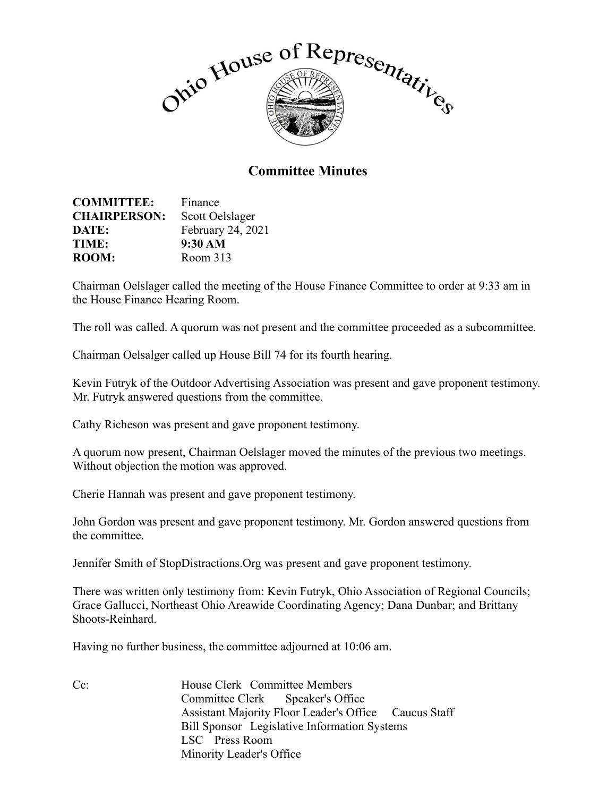

## **Committee Minutes**

| <b>COMMITTEE:</b>   | Finance           |
|---------------------|-------------------|
| <b>CHAIRPERSON:</b> | Scott Oelslager   |
| DATE:               | February 24, 2021 |
| TIME:               | 9:30 AM           |
| <b>ROOM:</b>        | Room 313          |

Chairman Oelslager called the meeting of the House Finance Committee to order at 9:33 am in the House Finance Hearing Room.

The roll was called. A quorum was not present and the committee proceeded as a subcommittee.

Chairman Oelsalger called up House Bill 74 for its fourth hearing.

Kevin Futryk of the Outdoor Advertising Association was present and gave proponent testimony. Mr. Futryk answered questions from the committee.

Cathy Richeson was present and gave proponent testimony.

A quorum now present, Chairman Oelslager moved the minutes of the previous two meetings. Without objection the motion was approved.

Cherie Hannah was present and gave proponent testimony.

John Gordon was present and gave proponent testimony. Mr. Gordon answered questions from the committee.

Jennifer Smith of StopDistractions.Org was present and gave proponent testimony.

There was written only testimony from: Kevin Futryk, Ohio Association of Regional Councils; Grace Gallucci, Northeast Ohio Areawide Coordinating Agency; Dana Dunbar; and Brittany Shoots-Reinhard.

Having no further business, the committee adjourned at 10:06 am.

Cc: House Clerk Committee Members Committee Clerk Speaker's Office Assistant Majority Floor Leader's Office Caucus Staff Bill Sponsor Legislative Information Systems LSC Press Room Minority Leader's Office